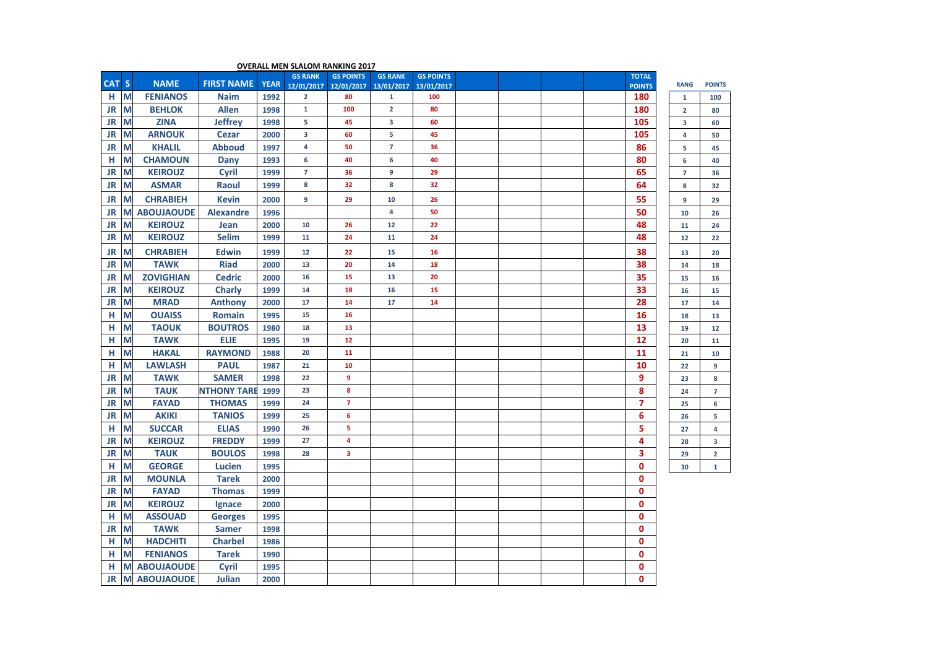| CAT S |   | <b>NAME</b>         | <b>FIRST NAME</b>  | <b>YEAR</b> | <b>GS RANK</b><br>12/01/2017 | <b>GS POINTS</b><br>12/01/2017 | <b>GS RANK</b><br>13/01/2017 | <b>GS POINTS</b><br>13/01/2017 |  |  | <b>TOTAL</b><br><b>POINTS</b> | <b>RANG</b>    | <b>POINTS</b>  |
|-------|---|---------------------|--------------------|-------------|------------------------------|--------------------------------|------------------------------|--------------------------------|--|--|-------------------------------|----------------|----------------|
| н     | M | <b>FENIANOS</b>     | <b>Naim</b>        | 1992        | $\overline{2}$               | 80                             | $\mathbf{1}$                 | 100                            |  |  | 180                           | $\mathbf{1}$   | 100            |
| JR    | M | <b>BEHLOK</b>       | <b>Allen</b>       | 1998        | $\mathbf 1$                  | 100                            | $\overline{2}$               | 80                             |  |  | 180                           | $\overline{2}$ | 80             |
| JR    | M | <b>ZINA</b>         | <b>Jeffrey</b>     | 1998        | 5                            | 45                             | 3                            | 60                             |  |  | 105                           | 3              | 60             |
| JR    | M | <b>ARNOUK</b>       | <b>Cezar</b>       | 2000        | 3                            | 60                             | 5                            | 45                             |  |  | 105                           | 4              | 50             |
| JR    | M | <b>KHALIL</b>       | <b>Abboud</b>      | 1997        | 4                            | 50                             | $\overline{7}$               | 36                             |  |  | 86                            | 5              | 45             |
| н     | M | <b>CHAMOUN</b>      | <b>Dany</b>        | 1993        | 6                            | 40                             | 6                            | 40                             |  |  | 80                            | 6              | 40             |
| JR    | M | <b>KEIROUZ</b>      | Cyril              | 1999        | $\overline{7}$               | 36                             | $\boldsymbol{9}$             | 29                             |  |  | 65                            | $\overline{7}$ | 36             |
| JR    | M | <b>ASMAR</b>        | Raoul              | 1999        | 8                            | 32                             | 8                            | 32                             |  |  | 64                            | 8              | 32             |
| JR    | M | <b>CHRABIEH</b>     | <b>Kevin</b>       | 2000        | 9                            | 29                             | 10                           | 26                             |  |  | 55                            | 9              | 29             |
| JR    | M | <b>ABOUJAOUDE</b>   | <b>Alexandre</b>   | 1996        |                              |                                | 4                            | 50                             |  |  | 50                            | 10             | 26             |
| JR    | M | <b>KEIROUZ</b>      | Jean               | 2000        | 10                           | 26                             | 12                           | 22                             |  |  | 48                            | 11             | 24             |
| JR    | M | <b>KEIROUZ</b>      | <b>Selim</b>       | 1999        | 11                           | 24                             | 11                           | 24                             |  |  | 48                            | 12             | 22             |
| JR    | М | <b>CHRABIEH</b>     | <b>Edwin</b>       | 1999        | 12                           | 22                             | 15                           | 16                             |  |  | 38                            | 13             | 20             |
| JR    | M | <b>TAWK</b>         | <b>Riad</b>        | 2000        | 13                           | 20                             | 14                           | 18                             |  |  | 38                            | 14             | 18             |
| JR    | M | <b>ZOVIGHIAN</b>    | <b>Cedric</b>      | 2000        | 16                           | 15                             | 13                           | 20                             |  |  | 35                            | 15             | 16             |
| JR    | M | <b>KEIROUZ</b>      | Charly             | 1999        | 14                           | 18                             | 16                           | 15                             |  |  | 33                            | 16             | 15             |
| JR    | M | <b>MRAD</b>         | <b>Anthony</b>     | 2000        | 17                           | 14                             | 17                           | 14                             |  |  | 28                            | 17             | 14             |
| н     | M | <b>OUAISS</b>       | <b>Romain</b>      | 1995        | 15                           | 16                             |                              |                                |  |  | 16                            | 18             | 13             |
| н     | M | <b>TAOUK</b>        | <b>BOUTROS</b>     | 1980        | 18                           | 13                             |                              |                                |  |  | 13                            | 19             | 12             |
| н     | M | <b>TAWK</b>         | ELIE               | 1995        | 19                           | 12                             |                              |                                |  |  | 12                            | 20             | 11             |
| н     | M | <b>HAKAL</b>        | <b>RAYMOND</b>     | 1988        | 20                           | 11                             |                              |                                |  |  | 11                            | 21             | 10             |
| н     | M | <b>LAWLASH</b>      | <b>PAUL</b>        | 1987        | 21                           | 10                             |                              |                                |  |  | 10                            | 22             | 9              |
| JR    | M | <b>TAWK</b>         | <b>SAMER</b>       | 1998        | 22                           | 9                              |                              |                                |  |  | 9                             | 23             | 8              |
| JR    | M | <b>TAUK</b>         | <b>NTHONY TARE</b> | 1999        | 23                           | 8                              |                              |                                |  |  | 8                             | 24             | $\overline{7}$ |
| JR    | M | <b>FAYAD</b>        | <b>THOMAS</b>      | 1999        | 24                           | $\overline{7}$                 |                              |                                |  |  | $\overline{7}$                | 25             | 6              |
| JR    | M | <b>AKIKI</b>        | <b>TANIOS</b>      | 1999        | 25                           | $6\phantom{a}$                 |                              |                                |  |  | 6                             | 26             | 5              |
| н     | M | <b>SUCCAR</b>       | <b>ELIAS</b>       | 1990        | 26                           | 5                              |                              |                                |  |  | 5                             | 27             | 4              |
| JR    | M | <b>KEIROUZ</b>      | <b>FREDDY</b>      | 1999        | 27                           | 4                              |                              |                                |  |  | 4                             | 28             | 3              |
| JR    | M | <b>TAUK</b>         | <b>BOULOS</b>      | 1998        | 28                           | 3                              |                              |                                |  |  | 3                             | 29             | $\overline{2}$ |
| н     | M | <b>GEORGE</b>       | <b>Lucien</b>      | 1995        |                              |                                |                              |                                |  |  | $\mathbf 0$                   | 30             | $\mathbf{1}$   |
| JR    | M | <b>MOUNLA</b>       | <b>Tarek</b>       | 2000        |                              |                                |                              |                                |  |  | $\mathbf 0$                   |                |                |
| JR    | М | <b>FAYAD</b>        | <b>Thomas</b>      | 1999        |                              |                                |                              |                                |  |  | $\mathbf 0$                   |                |                |
| JR    | M | <b>KEIROUZ</b>      | Ignace             | 2000        |                              |                                |                              |                                |  |  | $\mathbf 0$                   |                |                |
| н     | М | <b>ASSOUAD</b>      | <b>Georges</b>     | 1995        |                              |                                |                              |                                |  |  | $\mathbf 0$                   |                |                |
| JR    | M | <b>TAWK</b>         | <b>Samer</b>       | 1998        |                              |                                |                              |                                |  |  | 0                             |                |                |
| н     | M | <b>HADCHITI</b>     | <b>Charbel</b>     | 1986        |                              |                                |                              |                                |  |  | $\mathbf 0$                   |                |                |
| н     | M | <b>FENIANOS</b>     | <b>Tarek</b>       | 1990        |                              |                                |                              |                                |  |  | $\mathbf{0}$                  |                |                |
| н     | M | <b>ABOUJAOUDE</b>   | Cyril              | 1995        |                              |                                |                              |                                |  |  | 0                             |                |                |
| JR    |   | <b>M ABOUJAOUDE</b> | Julian             | 2000        |                              |                                |                              |                                |  |  | $\mathbf{0}$                  |                |                |

## **OVERALL MEN SLALOM RANKING 2017**